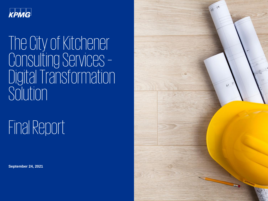

# The City of Kitchener Consulting Services – Digital Transformation Solution

Final Report

**September 24, 2021**

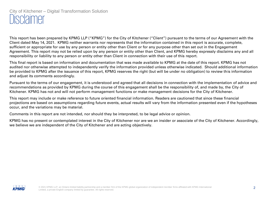### City of Kitchener – Digital Transformation Solution Disclaimer

This report has been prepared by KPMG LLP ("KPMG") for the City of Kitchener ("Client") pursuant to the terms of our Agreement with the Client dated May 14, 2021. KPMG neither warrants nor represents that the information contained in this report is accurate, complete, sufficient or appropriate for use by any person or entity other than Client or for any purpose other than set out in the Engagement Agreement. This report may not be relied upon by any person or entity other than Client, and KPMG hereby expressly disclaims any and all responsibility or liability to any person or entity other than Client in connection with their use of this report.

This final report is based on information and documentation that was made available to KPMG at the date of this report. KPMG has not audited nor otherwise attempted to independently verify the information provided unless otherwise indicated. Should additional information be provided to KPMG after the issuance of this report, KPMG reserves the right (but will be under no obligation) to review this information and adjust its comments accordingly.

Pursuant to the terms of our engagement, it is understood and agreed that all decisions in connection with the implementation of advice and recommendations as provided by KPMG during the course of this engagement shall be the responsibility of, and made by, the City of Kitchener. KPMG has not and will not perform management functions or make management decisions for the City of Kitchener.

This report may include or make reference to future oriented financial information. Readers are cautioned that since these financial projections are based on assumptions regarding future events, actual results will vary from the information presented even if the hypotheses occur, and the variations may be material.

Comments in this report are not intended, nor should they be interpreted, to be legal advice or opinion.

KPMG has no present or contemplated interest in the City of Kitchener nor are we an insider or associate of the City of Kitchener. Accordingly, we believe we are independent of the City of Kitchener and are acting objectively.

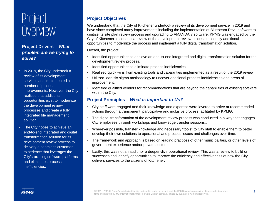# Project Overview

### **Project Drivers –** *What problem are we trying to solve?*

- In 2019, the City undertook a review of its development services and implemented a number of process improvements. However, the City realizes that additional opportunities exist to modernize the development review processes and create a fully integrated file management solution.
- The City hopes to achieve an end-to-end integrated and digital transformation solution for its development review process to delivery a seamless customer experience that leverages the City's existing software platforms and eliminates process inefficiencies.

### **Project Objectives**

We understand that the City of Kitchener undertook a review of its development service in 2019 and have since completed many improvements including the implementation of Bluebeam Revu software to digitize its site plan review process and upgrading to AMANDA 7 software. KPMG was engaged by the City of Kitchener to conduct a review of the development review process to identify additional opportunities to modernize the process and implement a fully digital transformation solution.

Overall, the project:

- Identified opportunities to achieve an end-to-end integrated and digital transformation solution for the development review process.
- Identified opportunities to eliminate process inefficiencies.
- Realized quick wins from existing tools and capabilities implemented as a result of the 2019 review.
- Utilized lean six sigma methodology to uncover additional process inefficiencies and areas of improvement.
- Identified qualified vendors for recommendations that are beyond the capabilities of existing software within the City.

### **Project Principles –** *What is Important to Us?*

- City staff were engaged and their knowledge and expertise were levered to arrive at recommended actions through a transparent, participative and inclusive process facilitated by KPMG.
- The digital transformation of the development review process was conducted in a way that engages City employees through workshops and knowledge transfer sessions..
- Wherever possible, transfer knowledge and necessary "tools" to City staff to enable them to better develop their own solutions to operational and process issues and challenges over time.
- The framework and approach is based on leading practices of other municipalities, or other levels of government experience and/or private sector.
- Lastly, this was not an audit nor a deeper-dive operational review. This was a review to build on successes and identify opportunities to improve the efficiency and effectiveness of how the City delivers services to the citizens of Kitchener.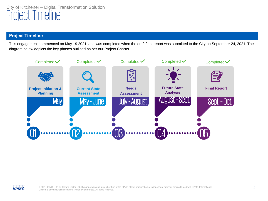### City of Kitchener – Digital Transformation Solution Project Timeline

#### **Project Timeline**

This engagement commenced on May 19 2021, and was completed when the draft final report was submitted to the City on September 24, 2021. The diagram below depicts the key phases outlined as per our Project Charter.





© 2021 KPMG LLP, an Ontario limited liability partnership and a member firm of the KPMG global organization of independent member firms affiliated with KPMG International Limited, a private English company limited by guarantee. All rights reserved.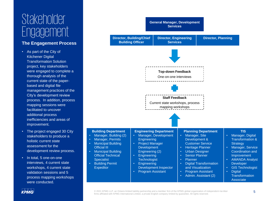# Stakeholder Engagement

#### **The Engagement Process**

- As part of the City of Kitchener Digital Transformation Solution project, key stakeholders were engaged to complete a thorough analysis of the current state of the paperbased and digital file management practices of the City's development review process. In addition, process mapping sessions were facilitated to uncover additional process inefficiencies and areas of improvement.
- The project engaged 30 City stakeholders to produce a holistic current state assessment for the development review process.
- In total, 5 one-on-one interviews, 4 current state workshops, 4 current state validation sessions and 5 process mapping workshops were conducted.



### KPMG

© 2021 KPMG LLP, an Ontario limited liability partnership and a member firm of the KPMG global organization of independent member firms affiliated with KPMG International Limited, a private English company limited by guarantee. All rights reserved.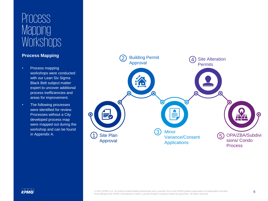# Process **Mapping Workshops**

### **Process Mapping**

- Process mapping workshops were conducted with our Lean Six Sigma Black Belt subject matter expert to uncover additional process inefficiencies and areas for improvement.
- The following processes were identified for review. Processes without a City developed process map were mapped out during the workshop and can be found in Appendix A.

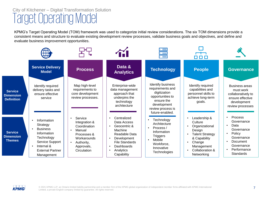# City of Kitchener – Digital Transformation Solution Target Operating Model

KPMG's Target Operating Model (TOM) framework was used to categorize initial review considerations. The six TOM dimensions provide a consistent means and structure to evaluate existing development review processes, validate business goals and objectives, and define and evaluate business improvement opportunities.



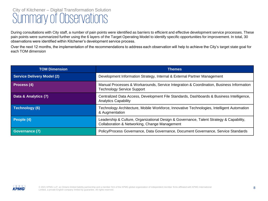## City of Kitchener – Digital Transformation Solution Summary of Observations

During consultations with City staff, a number of pain points were identified as barriers to efficient and effective development service processes. These pain points were summarized further using the 6 layers of the Target Operating Model to identify specific opportunities for improvement. In total, 30 observations were identified within Kitchener's development service process.

Over the next 12 months, the implementation of the recommendations to address each observation will help to achieve the City's target state goal for each TOM dimension

| <b>TOM Dimension</b>              | <b>Themes</b>                                                                                                                            |  |
|-----------------------------------|------------------------------------------------------------------------------------------------------------------------------------------|--|
| <b>Service Delivery Model (2)</b> | Development Information Strategy, Internal & External Partner Management                                                                 |  |
| Process (4)                       | Manual Processes & Workarounds, Service Integration & Coordination, Business Information<br><b>Technology Service Support</b>            |  |
| Data & Analytics (7)              | Centralized Data Access, Development File Standards, Dashboards & Business Intelligence,<br><b>Analytics Capability</b>                  |  |
| Technology (6)                    | Technology Architecture, Mobile Workforce, Innovative Technologies, Intelligent Automation<br>& Augmentation                             |  |
| People (4)                        | Leadership & Culture, Organizational Design & Governance, Talent Strategy & Capability,<br>Collaboration & Networking, Change Management |  |
| Governance (7)                    | Policy/Process Governance, Data Governance, Document Governance, Service Standards                                                       |  |

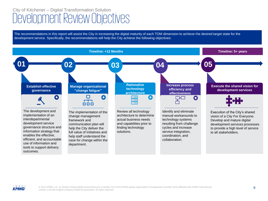# City of Kitchener – Digital Transformation Solution Development Review Objectives

The recommendations in this report will assist the City in increasing the digital maturity of each TOM dimension to achieve the desired target state for the development service. Specifically, the recommendations will help the City achieve the following objectives:



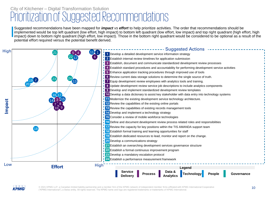### City of Kitchener – Digital Transformation Solution Prioritization of Suggested Recommendations

Suggested recommendations have been mapped for *impact vs effort* to help prioritize activities. The order that recommendations should be implemented would be top left quadrant (low effort, high impact) to bottom left quadrant (low effort, low impact) and top right quadrant (high effort, high impact) down to bottom right quadrant (high effort, low impact). Those in the bottom right quadrant would be considered to be optional as a result of the potential effort required versus the potential benefit derived.





© 2021 KPMG LLP, a Canadian limited liability partnership and a member firm of the KPMG network of independent member firms affiliated with KPMG International Cooperative 10 ("KPMG International"), a Swiss entity. All rights reserved. The KPMG name and logo are registered trademarks or trademarks of KPMG International.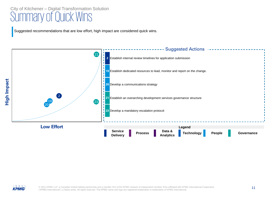# City of Kitchener – Digital Transformation Solution<br>SUMMALY Of QUICK WINS

Suggested recommendations that are low effort, high impact are considered quick wins.





© 2021 KPMG LLP, a Canadian limited liability partnership and a member firm of the KPMG network of independent member firms affiliated with KPMG International Cooperative **11** ("KPMG International"), a Swiss entity. All rights reserved. The KPMG name and logo are registered trademarks or trademarks of KPMG International.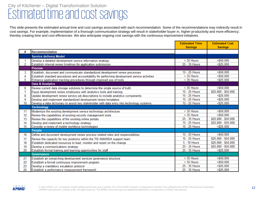# City of Kitchener – Digital Transformation Solution<br>ESTIMATED TIME AND COST SAVINGS

thereby creating time and cost efficiencies. We also anticipate ongoing cost savings with the continuous improvement initiatives.<br>. This slide presents the estimated annual time and cost savings associated with each recommendation. Some of the recommendations may indirectly result in cost savings. For example, implementation of a thorough communication strategy will result in stakeholder buyer in, higher productivity and more efficiency;

|    |                                                                                                | <b>Estimated Time</b><br><b>Savings</b> | <b>Estimated Cost</b><br><b>Savings</b> |
|----|------------------------------------------------------------------------------------------------|-----------------------------------------|-----------------------------------------|
| #  | <b>Recommendation</b>                                                                          |                                         |                                         |
|    | <b>Service delivery Model</b>                                                                  |                                         |                                         |
| 1  | Develop a detailed development service information strategy                                    | $>$ 35 Hours                            | $>$ \$50.000                            |
| 2  | Establish internal review timelines for application submission                                 | 25 - 35 Hours                           | $<$ \$25,000                            |
|    | <b>Process</b>                                                                                 |                                         |                                         |
| 3  | Establish, document and communicate standardized development review processes                  | 15 - 25 Hours                           | $>$ \$50.000                            |
| 4  | Establish standard procedures and accountability for performing development service activities | $>$ 35 Hours                            | $>$ \$50.000                            |
| 5  | Enhance application tracking procedures through improved use of tools                          | $>$ 35 Hours                            | $<$ \$25,000                            |
|    | <b>Data &amp; Analytics</b>                                                                    |                                         |                                         |
| 6  | Review current data storage solutions to determine the single source of truth.                 | $>$ 35 Hours                            | $>$ \$50.000                            |
| 7  | Equip development review employees with analytics tools and training.                          | 15 - 25 Hours                           | \$25,000 - \$50,000                     |
| 8  | Update development review service job descriptions to include analytics components             | 15 - 25 Hours                           | $<$ \$25.000                            |
| 9  | Develop and implement standardized development review templates                                | 15 - 25 Hours                           | $<$ \$25,000                            |
| 10 | Develop a data dictionary to assist key stakeholder with data entry into technology systems    | 15 - 25 Hours                           | $<$ \$25.000                            |
|    | <b>Technology</b>                                                                              |                                         |                                         |
| 11 | Modernize the existing development service technology architecture.                            | $>$ 35 Hours                            | > \$50,000                              |
| 12 | Review the capabilities of existing records management tools                                   | $>$ 35 Hours                            | $>$ \$50.000                            |
| 13 | Review the capabilities of the existing online portals                                         | 25 - 35 Hours                           | \$25,000 - \$50,000                     |
| 14 | Develop and implement a technology strategy                                                    | 15 - 25 Hours                           | \$25,000 - \$50,000                     |
| 15 | Consider a review of mobile workforce technologies                                             | 15 - 25 Hours                           | $<$ \$25,000                            |
|    | People                                                                                         |                                         |                                         |
| 16 | Define and document development review process related roles and responsibilities              | 15 - 25 Hours                           | $>$ \$50.000                            |
| 17 | Review the capacity for key positions within the TIS AMANDA support team                       | 15 - 25 Hours                           | \$25,000 - \$50,000                     |
| 18 | Establish dedicated resources to lead, monitor and report on the change.                       | 5 - 10 Hours                            | \$25.000 - \$50.000                     |
| 19 | Develop a communications strategy                                                              | 25 - 35 Hours                           | \$25,000 - \$50,000                     |
| 20 | Establish formal training and learning opportunities for staff                                 | 25 - 35 Hours                           | $<$ \$25,000                            |
|    | <b>Governance</b>                                                                              |                                         |                                         |
| 21 | Establish an overarching development services governance structure                             | $>$ 35 Hours                            | $>$ \$50.000                            |
| 22 | Establish a formal continuous improvement program                                              | $>$ 35 Hours                            | $>$ \$50.000                            |
| 23 | Develop a mandatory escalation protocol                                                        | 25 - 35 Hours                           | $<$ \$25.000                            |
| 24 | Establish a performance measurement framework                                                  | 25 - 35 Hours                           | $<$ \$25.000                            |

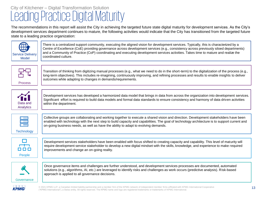# City of Kitchener – Digital Transformation Solution Leading Practice Digital Maturity

The recommendations in this report will assist the City in achieving the targeted future state digital maturity for development services. As the City's development services department continues to mature, the following activities would indicate that the City has transitioned from the targeted future state to a leading practice organization:



There is a centralized support community, executing the aligned vision for development services. Typically, this is characterized by a Centre of Excellence (CoE) providing governance across development services (e.g., consistency across previously siloed departments) and a Community of Practice (CoP) coordinating and executing development services activities. Takes time to mature and realize the coordinated culture.



Transition of thinking from digitizing manual processes (e.g., what we need to do in the short-term) to the digitalization of the process (e.g., long-term objectives). This includes re-imagining, continuously improving, and refining processes and results to enable insights to deliver outcomes while adapting to changes in demands/requirements.



Development services has developed a harmonized data model that brings in data from across the organization into development services. Significant effort is required to build data models and formal data standards to ensure consistency and harmony of data driven activities within the department.



Collective groups are collaborating and working together to execute a shared vision and direction. Development stakeholders have been enabled with technology with the next step to build capacity and capabilities. The goal of technology architecture is to support current and on-going business needs, as well as have the ability to adapt to evolving demands.



Development services stakeholders have been enabled with focus shifted to creating capacity and capability. This level of maturity will require development service stakeholder to develop a new digital mindset with the skills, knowledge, and experience to make required improvements and change an on-going reality.



Once governance items and challenges are further understood, and development services processes are documented, automated solutions (e.g., algorithms, AI, etc.) are leveraged to identify risks and challenges as work occurs (predictive analysis). Risk-based approach is applied to all governance decisions.



© 2021 KPMG LLP, a Canadian limited liability partnership and a member firm of the KPMG network of independent member firms affiliated with KPMG International Cooperative **13** ("KPMG International"), a Swiss entity. All rights reserved. The KPMG name and logo are registered trademarks or trademarks of KPMG International.